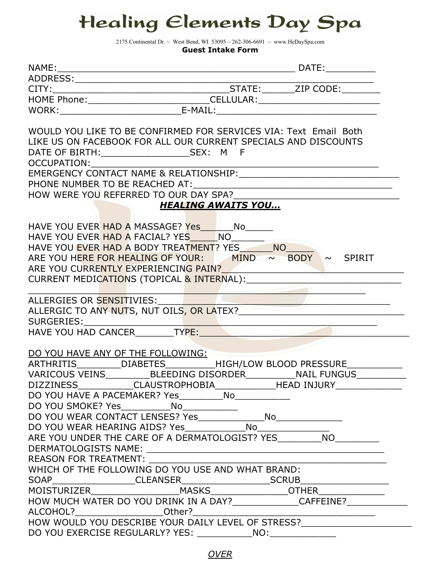## **Healing Elements Day Spa**

2175 Continental Dr. ~ West Bend, WI 53095 ~ 262-306-6691 ~ www.HeDaySpa.com **Guest Intake Form** 

|                                                   | CITY: STATE: ZIP CODE:                                                                                                                                                                                                                                                                                                                                                       |
|---------------------------------------------------|------------------------------------------------------------------------------------------------------------------------------------------------------------------------------------------------------------------------------------------------------------------------------------------------------------------------------------------------------------------------------|
| OCCUPATION: ______                                | WOULD YOU LIKE TO BE CONFIRMED FOR SERVICES VIA: Text Email Both<br>LIKE US ON FACEBOOK FOR ALL OUR CURRENT SPECIALS AND DISCOUNTS<br><u> 1980 - Johann Barnett, fransk politiker (d. 1980)</u><br><b>HEALING AWAITS YOU</b>                                                                                                                                                 |
|                                                   |                                                                                                                                                                                                                                                                                                                                                                              |
| HAVE YOU EVER HAD A MASSAGE? Yes No No            | HAVE YOU EVER HAD A FACIAL? YES NO<br>HAVE YOU EVER HAD A BODY TREATMENT? YES NO<br>ARE YOU HERE FOR HEALING OF YOUR: MIND ~ BODY ~ SPIRIT<br>ARE YOU CURRENTLY EXPERIENCING PAIN? And the state of the state of the state of the state of the state of the state of the state of the state of the state of the state of the state of the state of the state of the state of |
|                                                   | ALLERGIES OR SENSITIVIES:                                                                                                                                                                                                                                                                                                                                                    |
|                                                   | ALLERGIC TO ANY NUTS, NUT OILS, OR LATEX? ALLERGIC TO ANY NUTS, NUT OILS, OR LATEX?                                                                                                                                                                                                                                                                                          |
|                                                   |                                                                                                                                                                                                                                                                                                                                                                              |
|                                                   |                                                                                                                                                                                                                                                                                                                                                                              |
|                                                   |                                                                                                                                                                                                                                                                                                                                                                              |
|                                                   |                                                                                                                                                                                                                                                                                                                                                                              |
|                                                   | <u>DO YOU HAVE ANY OF THE FOLLOWING:</u><br>ARTHRITIS__________DIABETES__________HIGH/LOW BLOOD PRESSURE____________________                                                                                                                                                                                                                                                 |
|                                                   | VARICOUS VEINS______________BLEEDING DISORDER_____________NAIL FUNGUS___________                                                                                                                                                                                                                                                                                             |
|                                                   | DIZZINESS____________CLAUSTROPHOBIA______________HEAD INJURY_______________                                                                                                                                                                                                                                                                                                  |
|                                                   |                                                                                                                                                                                                                                                                                                                                                                              |
|                                                   |                                                                                                                                                                                                                                                                                                                                                                              |
|                                                   |                                                                                                                                                                                                                                                                                                                                                                              |
|                                                   |                                                                                                                                                                                                                                                                                                                                                                              |
|                                                   |                                                                                                                                                                                                                                                                                                                                                                              |
|                                                   |                                                                                                                                                                                                                                                                                                                                                                              |
|                                                   |                                                                                                                                                                                                                                                                                                                                                                              |
| WHICH OF THE FOLLOWING DO YOU USE AND WHAT BRAND: |                                                                                                                                                                                                                                                                                                                                                                              |
|                                                   |                                                                                                                                                                                                                                                                                                                                                                              |
|                                                   |                                                                                                                                                                                                                                                                                                                                                                              |
|                                                   | HOW MUCH WATER DO YOU DRINK IN A DAY?________________CAFFEINE?__________________                                                                                                                                                                                                                                                                                             |
|                                                   |                                                                                                                                                                                                                                                                                                                                                                              |
|                                                   | ALCOHOL? _______________________Other?<br>HOW WOULD YOU DESCRIBE YOUR DAILY LEVEL OF STRESS? ____________________________                                                                                                                                                                                                                                                    |
|                                                   |                                                                                                                                                                                                                                                                                                                                                                              |